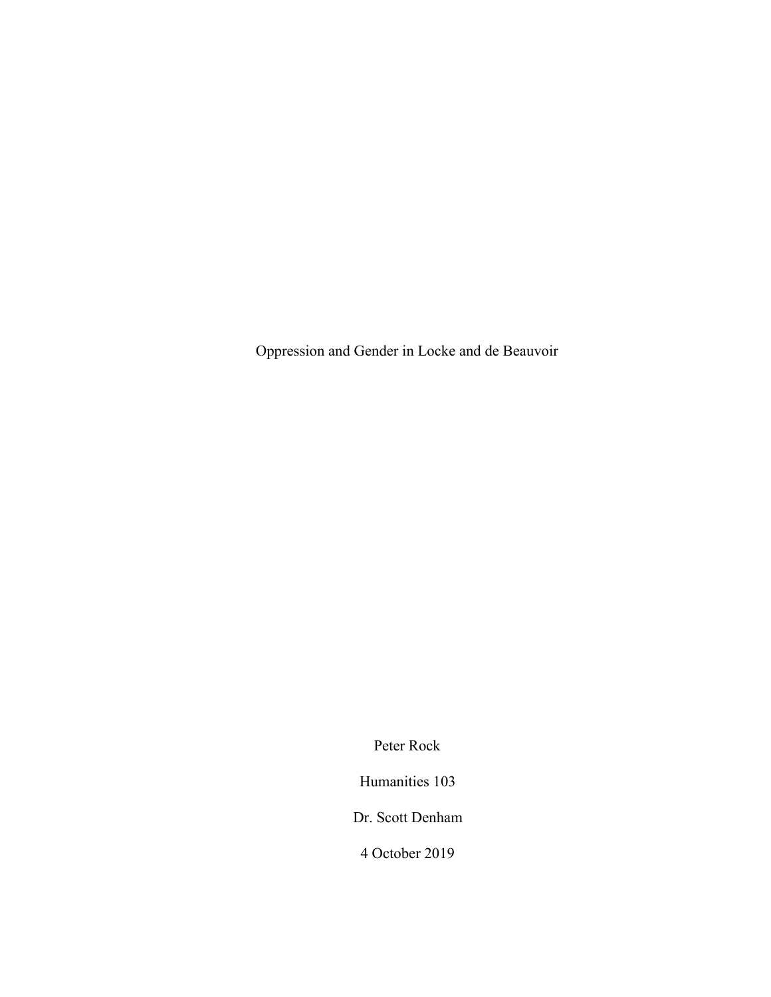Oppression and Gender in Locke and de Beauvoir

Peter Rock

Humanities 103

Dr. Scott Denham

4 October 2019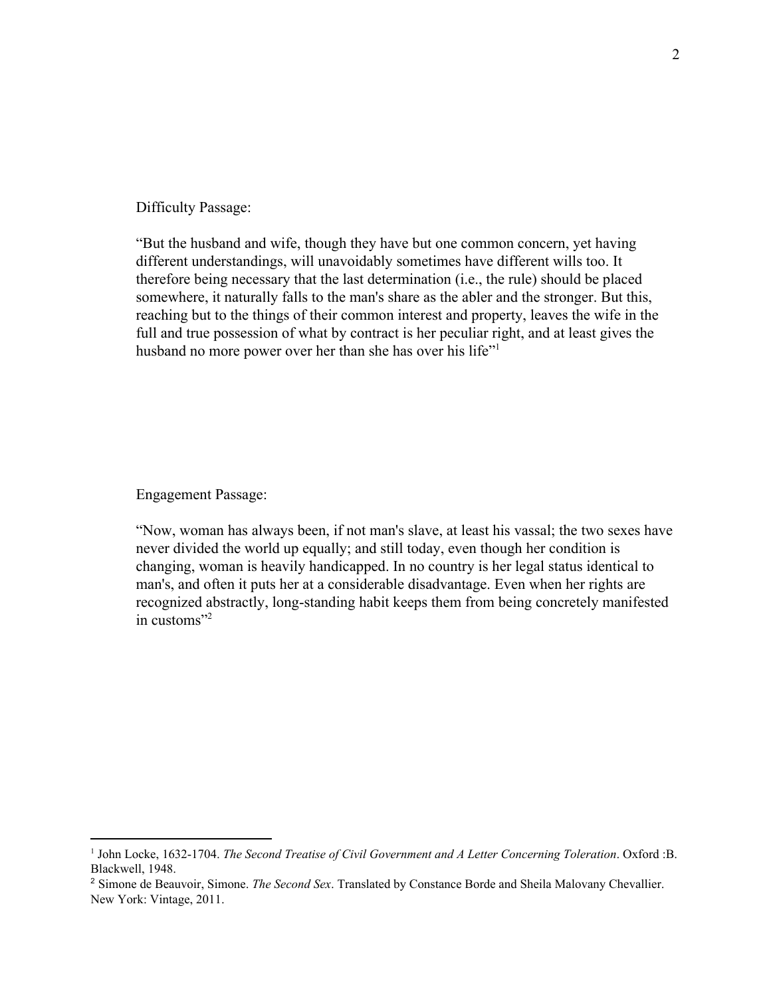Difficulty Passage:

"But the husband and wife, though they have but one common concern, yet having different understandings, will unavoidably sometimes have different wills too. It therefore being necessary that the last determination (i.e., the rule) should be placed somewhere, it naturally falls to the man's share as the abler and the stronger. But this, reaching but to the things of their common interest and property, leaves the wife in the full and true possession of what by contract is her peculiar right, and at least gives the husband no more power over her than she has over his life"<sup>1</sup>

Engagement Passage:

"Now, woman has always been, if not man's slave, at least his vassal; the two sexes have never divided the world up equally; and still today, even though her condition is changing, woman is heavily handicapped. In no country is her legal status identical to man's, and often it puts her at a considerable disadvantage. Even when her rights are recognized abstractly, long-standing habit keeps them from being concretely manifested in customs"<sup>2</sup>

<sup>1</sup> John Locke, 1632-1704. *The Second Treatise of Civil Government and A Letter Concerning Toleration*. Oxford :B. Blackwell, 1948.

<sup>2</sup> Simone de Beauvoir, Simone. *The Second Sex*. Translated by Constance Borde and Sheila Malovany Chevallier. New York: Vintage, 2011.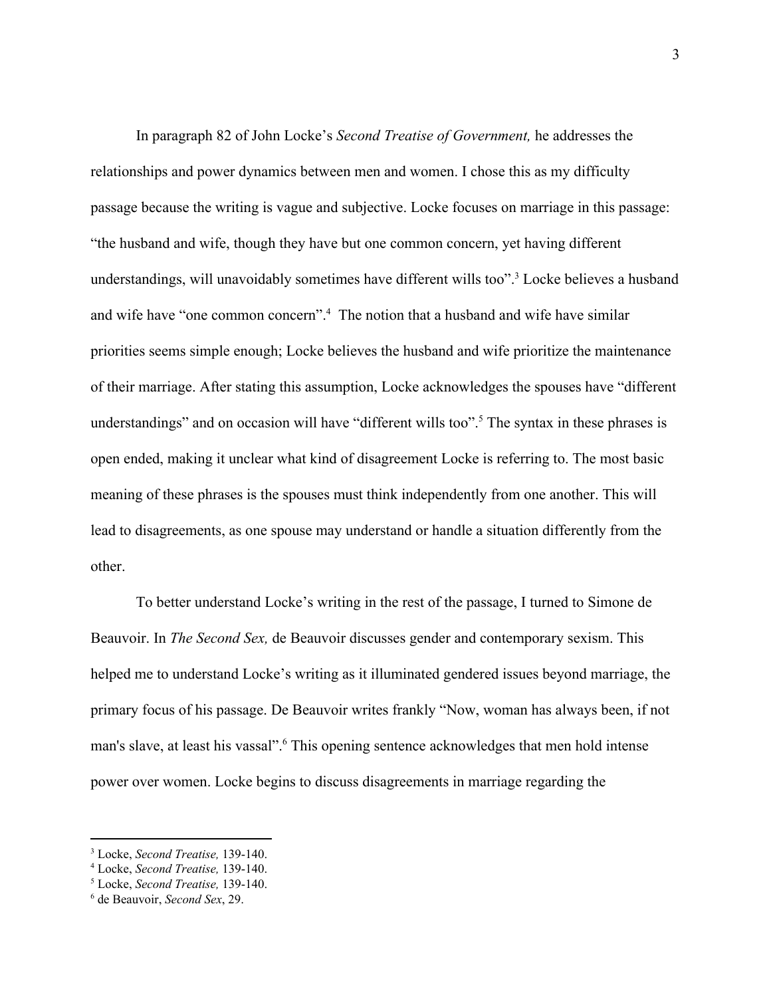In paragraph 82 of John Locke's *Second Treatise of Government,* he addresses the relationships and power dynamics between men and women. I chose this as my difficulty passage because the writing is vague and subjective. Locke focuses on marriage in this passage: "the husband and wife, though they have but one common concern, yet having different understandings, will unavoidably sometimes have different wills too".<sup>3</sup> Locke believes a husband and wife have "one common concern".<sup>4</sup> The notion that a husband and wife have similar priorities seems simple enough; Locke believes the husband and wife prioritize the maintenance of their marriage. After stating this assumption, Locke acknowledges the spouses have "different understandings" and on occasion will have "different wills too".<sup>5</sup> The syntax in these phrases is open ended, making it unclear what kind of disagreement Locke is referring to. The most basic meaning of these phrases is the spouses must think independently from one another. This will lead to disagreements, as one spouse may understand or handle a situation differently from the other.

To better understand Locke's writing in the rest of the passage, I turned to Simone de Beauvoir. In *The Second Sex,* de Beauvoir discusses gender and contemporary sexism. This helped me to understand Locke's writing as it illuminated gendered issues beyond marriage, the primary focus of his passage. De Beauvoir writes frankly "Now, woman has always been, if not man's slave, at least his vassal".<sup>6</sup> This opening sentence acknowledges that men hold intense power over women. Locke begins to discuss disagreements in marriage regarding the

<sup>3</sup> Locke, *Second Treatise,* 139-140.

<sup>4</sup> Locke, *Second Treatise,* 139-140.

<sup>5</sup> Locke, *Second Treatise,* 139-140.

<sup>6</sup> de Beauvoir, *Second Sex*, 29.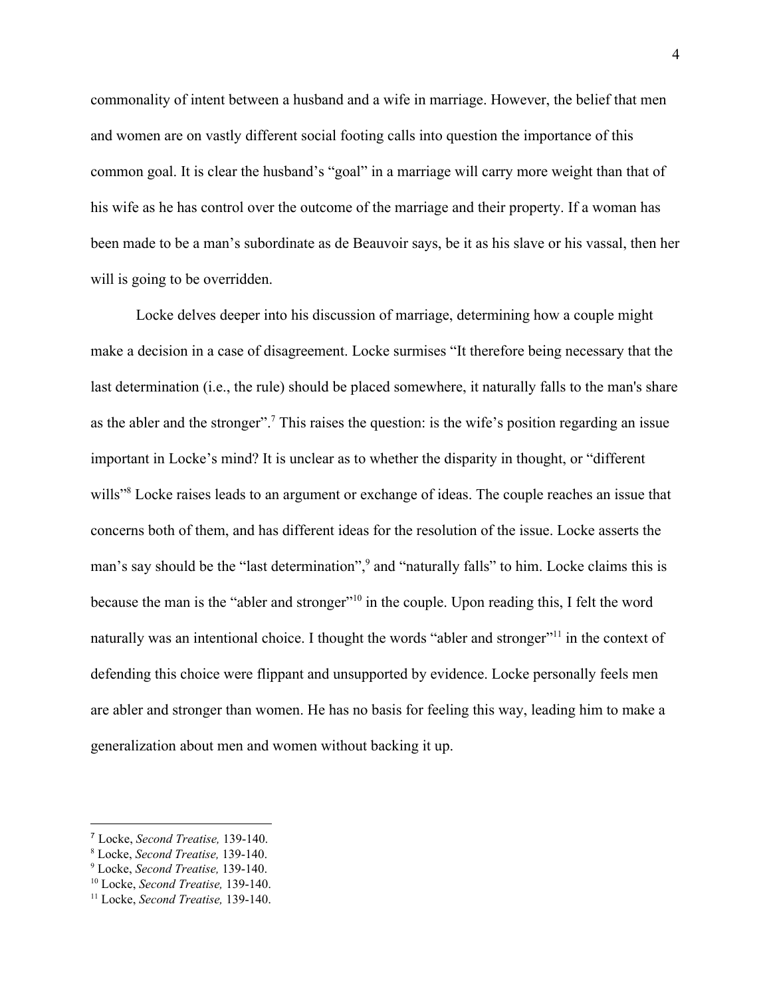commonality of intent between a husband and a wife in marriage. However, the belief that men and women are on vastly different social footing calls into question the importance of this common goal. It is clear the husband's "goal" in a marriage will carry more weight than that of his wife as he has control over the outcome of the marriage and their property. If a woman has been made to be a man's subordinate as de Beauvoir says, be it as his slave or his vassal, then her will is going to be overridden.

Locke delves deeper into his discussion of marriage, determining how a couple might make a decision in a case of disagreement. Locke surmises "It therefore being necessary that the last determination (i.e., the rule) should be placed somewhere, it naturally falls to the man's share as the abler and the stronger".<sup>7</sup> This raises the question: is the wife's position regarding an issue important in Locke's mind? It is unclear as to whether the disparity in thought, or "different wills<sup>"8</sup> Locke raises leads to an argument or exchange of ideas. The couple reaches an issue that concerns both of them, and has different ideas for the resolution of the issue. Locke asserts the man's say should be the "last determination",<sup>9</sup> and "naturally falls" to him. Locke claims this is because the man is the "abler and stronger"<sup>10</sup> in the couple. Upon reading this, I felt the word naturally was an intentional choice. I thought the words "abler and stronger"<sup> $11$ </sup> in the context of defending this choice were flippant and unsupported by evidence. Locke personally feels men are abler and stronger than women. He has no basis for feeling this way, leading him to make a generalization about men and women without backing it up.

<sup>7</sup> Locke, *Second Treatise,* 139-140.

<sup>8</sup> Locke, *Second Treatise,* 139-140.

<sup>9</sup> Locke, *Second Treatise,* 139-140.

<sup>10</sup> Locke, *Second Treatise,* 139-140.

<sup>11</sup> Locke, *Second Treatise,* 139-140.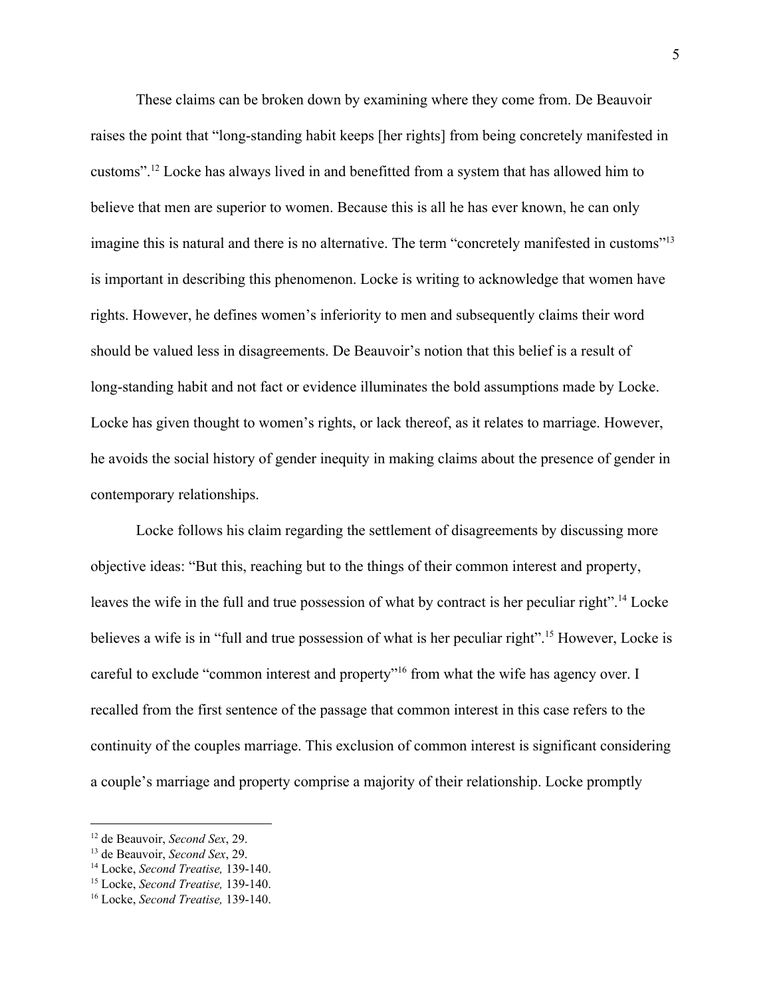These claims can be broken down by examining where they come from. De Beauvoir raises the point that "long-standing habit keeps [her rights] from being concretely manifested in customs".<sup>12</sup> Locke has always lived in and benefitted from a system that has allowed him to believe that men are superior to women. Because this is all he has ever known, he can only imagine this is natural and there is no alternative. The term "concretely manifested in customs"<sup>13</sup> is important in describing this phenomenon. Locke is writing to acknowledge that women have rights. However, he defines women's inferiority to men and subsequently claims their word should be valued less in disagreements. De Beauvoir's notion that this belief is a result of long-standing habit and not fact or evidence illuminates the bold assumptions made by Locke. Locke has given thought to women's rights, or lack thereof, as it relates to marriage. However, he avoids the social history of gender inequity in making claims about the presence of gender in contemporary relationships.

Locke follows his claim regarding the settlement of disagreements by discussing more objective ideas: "But this, reaching but to the things of their common interest and property, leaves the wife in the full and true possession of what by contract is her peculiar right".<sup>14</sup> Locke believes a wife is in "full and true possession of what is her peculiar right".<sup>15</sup> However, Locke is careful to exclude "common interest and property"<sup>16</sup> from what the wife has agency over. I recalled from the first sentence of the passage that common interest in this case refers to the continuity of the couples marriage. This exclusion of common interest is significant considering a couple's marriage and property comprise a majority of their relationship. Locke promptly

<sup>12</sup> de Beauvoir, *Second Sex*, 29.

<sup>13</sup> de Beauvoir, *Second Sex*, 29.

<sup>14</sup> Locke, *Second Treatise,* 139-140.

<sup>15</sup> Locke, *Second Treatise,* 139-140.

<sup>16</sup> Locke, *Second Treatise,* 139-140.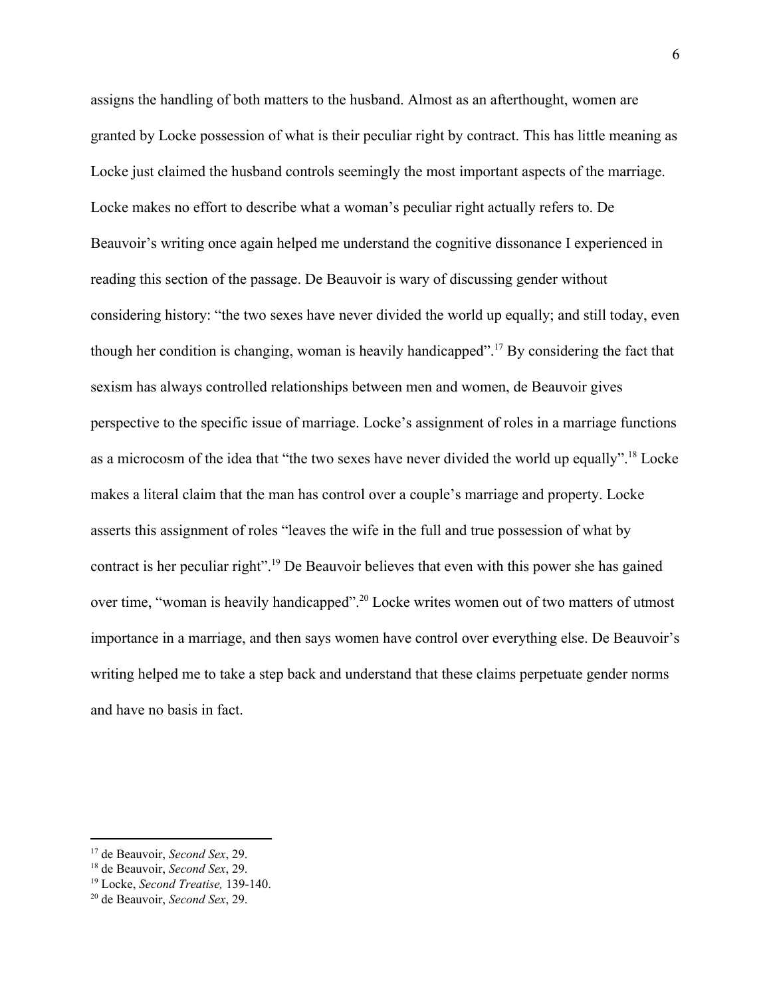assigns the handling of both matters to the husband. Almost as an afterthought, women are granted by Locke possession of what is their peculiar right by contract. This has little meaning as Locke just claimed the husband controls seemingly the most important aspects of the marriage. Locke makes no effort to describe what a woman's peculiar right actually refers to. De Beauvoir's writing once again helped me understand the cognitive dissonance I experienced in reading this section of the passage. De Beauvoir is wary of discussing gender without considering history: "the two sexes have never divided the world up equally; and still today, even though her condition is changing, woman is heavily handicapped".<sup>17</sup> By considering the fact that sexism has always controlled relationships between men and women, de Beauvoir gives perspective to the specific issue of marriage. Locke's assignment of roles in a marriage functions as a microcosm of the idea that "the two sexes have never divided the world up equally".<sup>18</sup> Locke makes a literal claim that the man has control over a couple's marriage and property. Locke asserts this assignment of roles "leaves the wife in the full and true possession of what by contract is her peculiar right".<sup>19</sup> De Beauvoir believes that even with this power she has gained over time, "woman is heavily handicapped".<sup>20</sup> Locke writes women out of two matters of utmost importance in a marriage, and then says women have control over everything else. De Beauvoir's writing helped me to take a step back and understand that these claims perpetuate gender norms and have no basis in fact.

<sup>17</sup> de Beauvoir, *Second Sex*, 29.

<sup>18</sup> de Beauvoir, *Second Sex*, 29.

<sup>19</sup> Locke, *Second Treatise,* 139-140.

<sup>20</sup> de Beauvoir, *Second Sex*, 29.